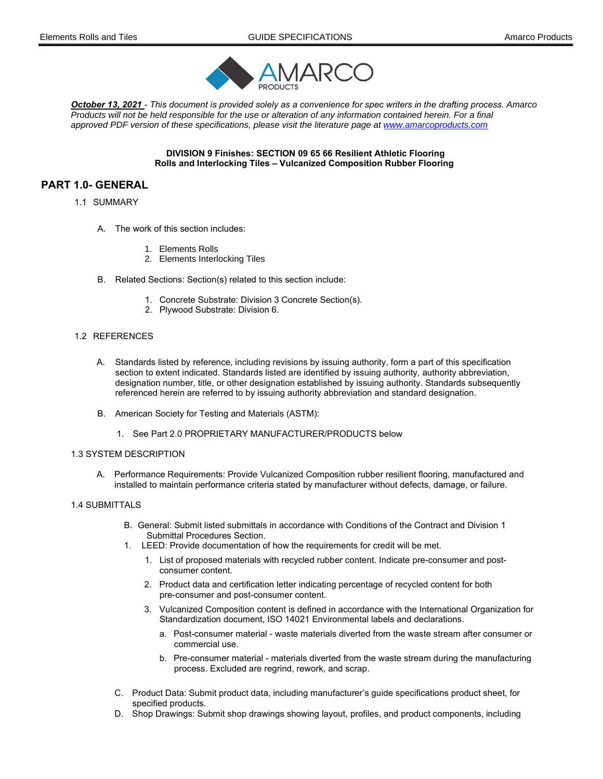

October 13, 2021 - This document is provided solely as a convenience for spec writers in the drafting process. *Amarco Products will not be held responsible for the use or alteration of any information contained herein. For a final approved PDF version of these specifications, please visit the literature page at www.amarcoproducts.com* 

> DIVISION 9 Finishes: SECTION 09 65 66 Resilient Athletic Flooring Rolls and Interlocking Tiles – Vulcanized Composition Rubber Flooring

# PART 1.0- GENERAL

#### 1.1 SUMMARY

- A. The work of this section includes:
	- 1. Elements Rolls
	- 2. Elements Interlocking Tiles
- B. Related Sections: Section(s) related to this section include:
	- 1. Concrete Substrate: Division 3 Concrete Section(s).
	- 2. Plywood Substrate: Division 6.

# 1.2 REFERENCES

- A. Standards listed by reference, including revisions by issuing authority, form a part of this specification section to extent indicated. Standards listed are identified by issuing authority, authority abbreviation, designation number, title, or other designation established by issuing authority. Standards subsequently referenced herein are referred to by issuing authority abbreviation and standard designation.
- B. American Society for Testing and Materials (ASTM):
	- 1. See Part 2.0 PROPRIETARY MANUFACTURER/PRODUCTS below

#### 1.3 SYSTEM DESCRIPTION

A. Performance Requirements: Provide Vulcanized Composition rubber resilient flooring, manufactured and installed to maintain performance criteria stated by manufacturer without defects, damage, or failure.

# 1.4 SUBMITTALS

- B. General: Submit listed submittals in accordance with Conditions of the Contract and Division 1 Submittal Procedures Section.
- 1. LEED: Provide documentation of how the requirements for credit will be met.
	- 1. List of proposed materials with recycled rubber content. Indicate pre-consumer and postconsumer content.
	- 2. Product data and certification letter indicating percentage of recycled content for both pre-consumer and post-consumer content.
	- 3. Vulcanized Composition content is defined in accordance with the International Organization for Standardization document, ISO 14021 Environmental labels and declarations.
		- a. Post-consumer material waste materials diverted from the waste stream after consumer or commercial use.
		- b. Pre-consumer material materials diverted from the waste stream during the manufacturing process. Excluded are regrind, rework, and scrap.
- C. Product Data: Submit product data, including manufacturer's guide specifications product sheet, for specified products.
- D. Shop Drawings: Submit shop drawings showing layout, profiles, and product components, including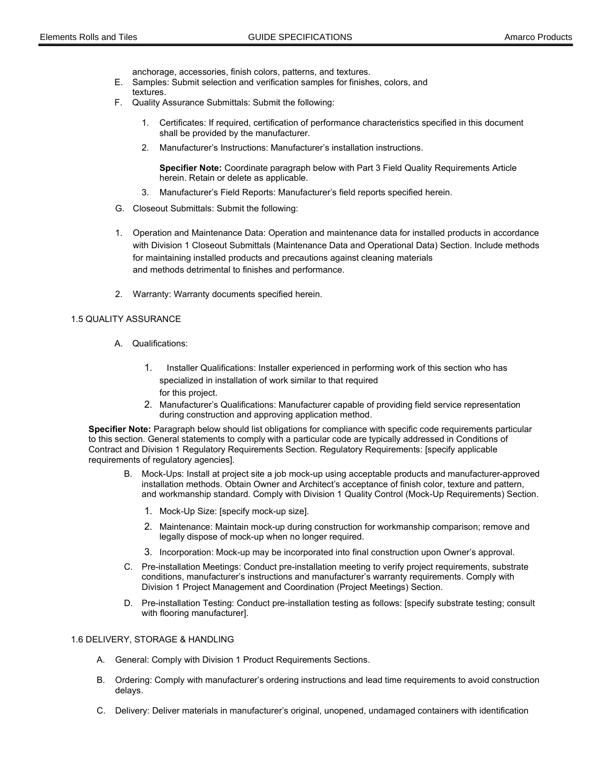anchorage, accessories, finish colors, patterns, and textures.

- E. Samples: Submit selection and verification samples for finishes, colors, and textures.
- F. Quality Assurance Submittals: Submit the following:
	- 1. Certificates: If required, certification of performance characteristics specified in this document shall be provided by the manufacturer.
	- 2. Manufacturer's Instructions: Manufacturer's installation instructions.

Specifier Note: Coordinate paragraph below with Part 3 Field Quality Requirements Article herein. Retain or delete as applicable.

- 3. Manufacturer's Field Reports: Manufacturer's field reports specified herein.
- G. Closeout Submittals: Submit the following:
- 1. Operation and Maintenance Data: Operation and maintenance data for installed products in accordance with Division 1 Closeout Submittals (Maintenance Data and Operational Data) Section. Include methods for maintaining installed products and precautions against cleaning materials and methods detrimental to finishes and performance.
- 2. Warranty: Warranty documents specified herein.

### 1.5 QUALITY ASSURANCE

- A. Qualifications:
	- 1. Installer Qualifications: Installer experienced in performing work of this section who has specialized in installation of work similar to that required for this project.
	- 2. Manufacturer's Qualifications: Manufacturer capable of providing field service representation during construction and approving application method.

Specifier Note: Paragraph below should list obligations for compliance with specific code requirements particular to this section. General statements to comply with a particular code are typically addressed in Conditions of Contract and Division 1 Regulatory Requirements Section. Regulatory Requirements: [specify applicable requirements of regulatory agencies].

- B. Mock-Ups: Install at project site a job mock-up using acceptable products and manufacturer-approved installation methods. Obtain Owner and Architect's acceptance of finish color, texture and pattern, and workmanship standard. Comply with Division 1 Quality Control (Mock-Up Requirements) Section.
	- 1. Mock-Up Size: [specify mock-up size].
	- 2. Maintenance: Maintain mock-up during construction for workmanship comparison; remove and legally dispose of mock-up when no longer required.
	- 3. Incorporation: Mock-up may be incorporated into final construction upon Owner's approval.
- C. Pre-installation Meetings: Conduct pre-installation meeting to verify project requirements, substrate conditions, manufacturer's instructions and manufacturer's warranty requirements. Comply with Division 1 Project Management and Coordination (Project Meetings) Section.
- D. Pre-installation Testing: Conduct pre-installation testing as follows: [specify substrate testing; consult with flooring manufacturer].

### 1.6 DELIVERY, STORAGE & HANDLING

- A. General: Comply with Division 1 Product Requirements Sections.
- B. Ordering: Comply with manufacturer's ordering instructions and lead time requirements to avoid construction delays.
- C. Delivery: Deliver materials in manufacturer's original, unopened, undamaged containers with identification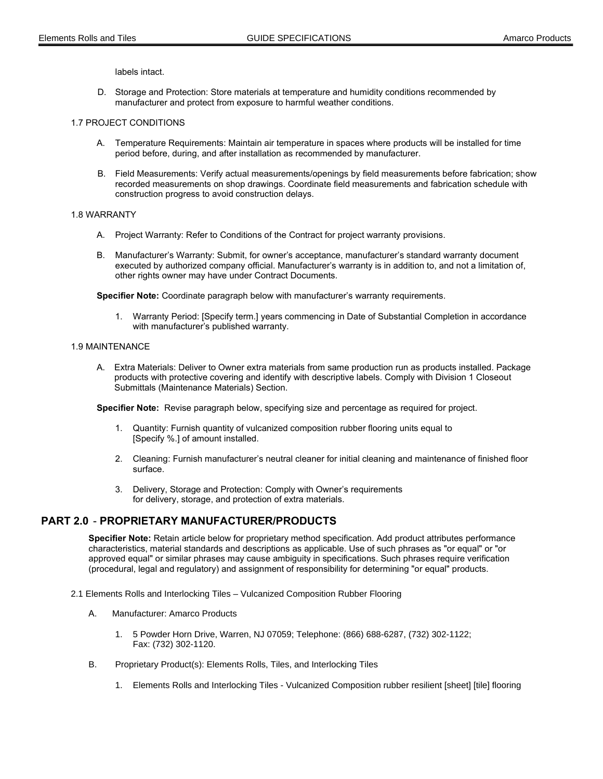labels intact.

D. Storage and Protection: Store materials at temperature and humidity conditions recommended by manufacturer and protect from exposure to harmful weather conditions.

### 1.7 PROJECT CONDITIONS

- A. Temperature Requirements: Maintain air temperature in spaces where products will be installed for time period before, during, and after installation as recommended by manufacturer.
- B. Field Measurements: Verify actual measurements/openings by field measurements before fabrication; show recorded measurements on shop drawings. Coordinate field measurements and fabrication schedule with construction progress to avoid construction delays.

#### 1.8 WARRANTY

- A. Project Warranty: Refer to Conditions of the Contract for project warranty provisions.
- B. Manufacturer's Warranty: Submit, for owner's acceptance, manufacturer's standard warranty document executed by authorized company official. Manufacturer's warranty is in addition to, and not a limitation of, other rights owner may have under Contract Documents.

Specifier Note: Coordinate paragraph below with manufacturer's warranty requirements.

 1. Warranty Period: [Specify term.] years commencing in Date of Substantial Completion in accordance with manufacturer's published warranty.

## 1.9 MAINTENANCE

A. Extra Materials: Deliver to Owner extra materials from same production run as products installed. Package products with protective covering and identify with descriptive labels. Comply with Division 1 Closeout Submittals (Maintenance Materials) Section.

Specifier Note: Revise paragraph below, specifying size and percentage as required for project.

- 1. Quantity: Furnish quantity of vulcanized composition rubber flooring units equal to [Specify %.] of amount installed.
- 2. Cleaning: Furnish manufacturer's neutral cleaner for initial cleaning and maintenance of finished floor surface.
- 3. Delivery, Storage and Protection: Comply with Owner's requirements for delivery, storage, and protection of extra materials.

# PART 2.0 - PROPRIETARY MANUFACTURER/PRODUCTS

Specifier Note: Retain article below for proprietary method specification. Add product attributes performance characteristics, material standards and descriptions as applicable. Use of such phrases as "or equal" or "or approved equal" or similar phrases may cause ambiguity in specifications. Such phrases require verification (procedural, legal and regulatory) and assignment of responsibility for determining "or equal" products.

- 2.1 Elements Rolls and Interlocking Tiles Vulcanized Composition Rubber Flooring
	- A. Manufacturer: Amarco Products
		- 1. 5 Powder Horn Drive, Warren, NJ 07059; Telephone: (866) 688-6287, (732) 302-1122; Fax: (732) 302-1120.
	- B. Proprietary Product(s): Elements Rolls, Tiles, and Interlocking Tiles
		- 1. Elements Rolls and Interlocking Tiles Vulcanized Composition rubber resilient [sheet] [tile] flooring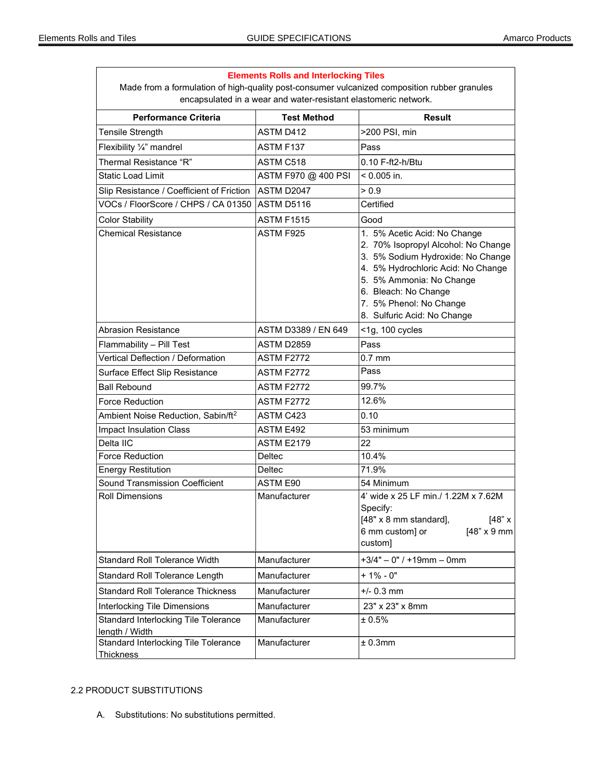| Made from a formulation of high-quality post-consumer vulcanized composition rubber granules<br>encapsulated in a wear and water-resistant elastomeric network. |                     |                                                                                                                                                                                                                                                              |
|-----------------------------------------------------------------------------------------------------------------------------------------------------------------|---------------------|--------------------------------------------------------------------------------------------------------------------------------------------------------------------------------------------------------------------------------------------------------------|
| <b>Performance Criteria</b>                                                                                                                                     | <b>Test Method</b>  | <b>Result</b>                                                                                                                                                                                                                                                |
| Tensile Strength                                                                                                                                                | ASTM D412           | >200 PSI, min                                                                                                                                                                                                                                                |
| Flexibility $\frac{1}{4}$ " mandrel                                                                                                                             | ASTM F137           | Pass                                                                                                                                                                                                                                                         |
| Thermal Resistance "R"                                                                                                                                          | ASTM C518           | 0.10 F-ft2-h/Btu                                                                                                                                                                                                                                             |
| <b>Static Load Limit</b>                                                                                                                                        | ASTM F970 @ 400 PSI | < 0.005 in.                                                                                                                                                                                                                                                  |
| Slip Resistance / Coefficient of Friction                                                                                                                       | ASTM D2047          | > 0.9                                                                                                                                                                                                                                                        |
| VOCs / FloorScore / CHPS / CA 01350                                                                                                                             | ASTM D5116          | Certified                                                                                                                                                                                                                                                    |
| <b>Color Stability</b>                                                                                                                                          | <b>ASTM F1515</b>   | Good                                                                                                                                                                                                                                                         |
| <b>Chemical Resistance</b>                                                                                                                                      | ASTM F925           | 1. 5% Acetic Acid: No Change<br>2. 70% Isopropyl Alcohol: No Change<br>3. 5% Sodium Hydroxide: No Change<br>4. 5% Hydrochloric Acid: No Change<br>5. 5% Ammonia: No Change<br>6. Bleach: No Change<br>7. 5% Phenol: No Change<br>8. Sulfuric Acid: No Change |
| <b>Abrasion Resistance</b>                                                                                                                                      | ASTM D3389 / EN 649 | <1g, 100 cycles                                                                                                                                                                                                                                              |
| Flammability - Pill Test                                                                                                                                        | ASTM D2859          | Pass                                                                                                                                                                                                                                                         |
| Vertical Deflection / Deformation                                                                                                                               | <b>ASTM F2772</b>   | $0.7$ mm                                                                                                                                                                                                                                                     |
| Surface Effect Slip Resistance                                                                                                                                  | <b>ASTM F2772</b>   | Pass                                                                                                                                                                                                                                                         |
| <b>Ball Rebound</b>                                                                                                                                             | ASTM F2772          | 99.7%                                                                                                                                                                                                                                                        |
| Force Reduction                                                                                                                                                 | <b>ASTM F2772</b>   | 12.6%                                                                                                                                                                                                                                                        |
| Ambient Noise Reduction, Sabin/ft <sup>2</sup>                                                                                                                  | ASTM C423           | 0.10                                                                                                                                                                                                                                                         |
| <b>Impact Insulation Class</b>                                                                                                                                  | ASTM E492           | 53 minimum                                                                                                                                                                                                                                                   |
| Delta IIC                                                                                                                                                       | <b>ASTM E2179</b>   | 22                                                                                                                                                                                                                                                           |
| <b>Force Reduction</b>                                                                                                                                          | Deltec              | 10.4%                                                                                                                                                                                                                                                        |
| <b>Energy Restitution</b>                                                                                                                                       | Deltec              | 71.9%                                                                                                                                                                                                                                                        |
| <b>Sound Transmission Coefficient</b>                                                                                                                           | ASTM E90            | 54 Minimum                                                                                                                                                                                                                                                   |
| <b>Roll Dimensions</b>                                                                                                                                          | Manufacturer        | 4' wide x 25 LF min./ 1.22M x 7.62M<br>Specify:<br>[48" x]<br>[48" x 8 mm standard],<br>6 mm custom] or<br>$[48" \times 9$ mm<br>custom]                                                                                                                     |
| Standard Roll Tolerance Width                                                                                                                                   | Manufacturer        | $+3/4" - 0" / +19mm - 0mm$                                                                                                                                                                                                                                   |
| Standard Roll Tolerance Length                                                                                                                                  | Manufacturer        | $+1\% - 0"$                                                                                                                                                                                                                                                  |
| <b>Standard Roll Tolerance Thickness</b>                                                                                                                        | Manufacturer        | $+/- 0.3$ mm                                                                                                                                                                                                                                                 |
| <b>Interlocking Tile Dimensions</b>                                                                                                                             | Manufacturer        | 23" x 23" x 8mm                                                                                                                                                                                                                                              |
| Standard Interlocking Tile Tolerance<br>length / Width                                                                                                          | Manufacturer        | ± 0.5%                                                                                                                                                                                                                                                       |
| Standard Interlocking Tile Tolerance<br><b>Thickness</b>                                                                                                        | Manufacturer        | ± 0.3mm                                                                                                                                                                                                                                                      |

# **Elements Rolls and Interlocking Tiles**

# 2.2 PRODUCT SUBSTITUTIONS

A. Substitutions: No substitutions permitted.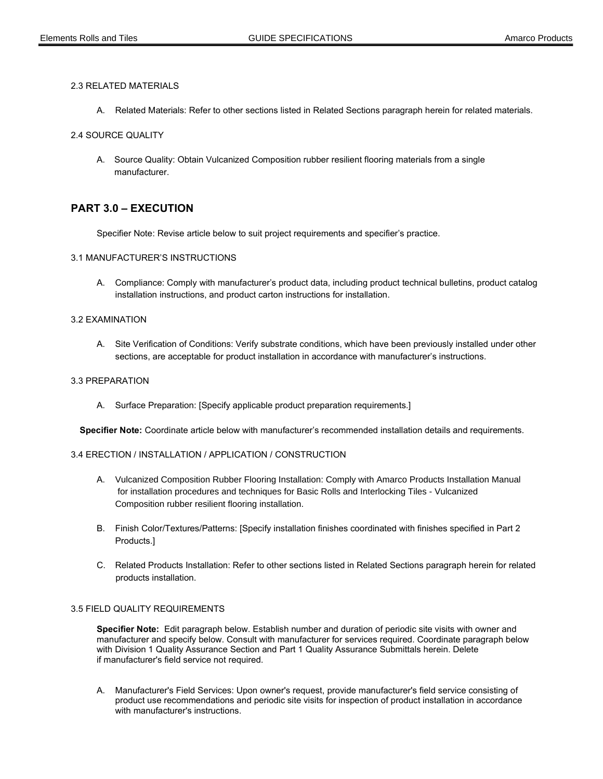### 2.3 RELATED MATERIALS

A. Related Materials: Refer to other sections listed in Related Sections paragraph herein for related materials.

#### 2.4 SOURCE QUALITY

A. Source Quality: Obtain Vulcanized Composition rubber resilient flooring materials from a single manufacturer.

# PART 3.0 – EXECUTION

Specifier Note: Revise article below to suit project requirements and specifier's practice.

#### 3.1 MANUFACTURER'S INSTRUCTIONS

 A. Compliance: Comply with manufacturer's product data, including product technical bulletins, product catalog installation instructions, and product carton instructions for installation.

#### 3.2 EXAMINATION

 A. Site Verification of Conditions: Verify substrate conditions, which have been previously installed under other sections, are acceptable for product installation in accordance with manufacturer's instructions.

## 3.3 PREPARATION

A. Surface Preparation: [Specify applicable product preparation requirements.]

Specifier Note: Coordinate article below with manufacturer's recommended installation details and requirements.

### 3.4 ERECTION / INSTALLATION / APPLICATION / CONSTRUCTION

- A. Vulcanized Composition Rubber Flooring Installation: Comply with Amarco Products Installation Manual for installation procedures and techniques for Basic Rolls and Interlocking Tiles - Vulcanized Composition rubber resilient flooring installation.
- B. Finish Color/Textures/Patterns: [Specify installation finishes coordinated with finishes specified in Part 2 Products.]
- C. Related Products Installation: Refer to other sections listed in Related Sections paragraph herein for related products installation.

### 3.5 FIELD QUALITY REQUIREMENTS

Specifier Note: Edit paragraph below. Establish number and duration of periodic site visits with owner and manufacturer and specify below. Consult with manufacturer for services required. Coordinate paragraph below with Division 1 Quality Assurance Section and Part 1 Quality Assurance Submittals herein. Delete if manufacturer's field service not required.

 A. Manufacturer's Field Services: Upon owner's request, provide manufacturer's field service consisting of product use recommendations and periodic site visits for inspection of product installation in accordance with manufacturer's instructions.